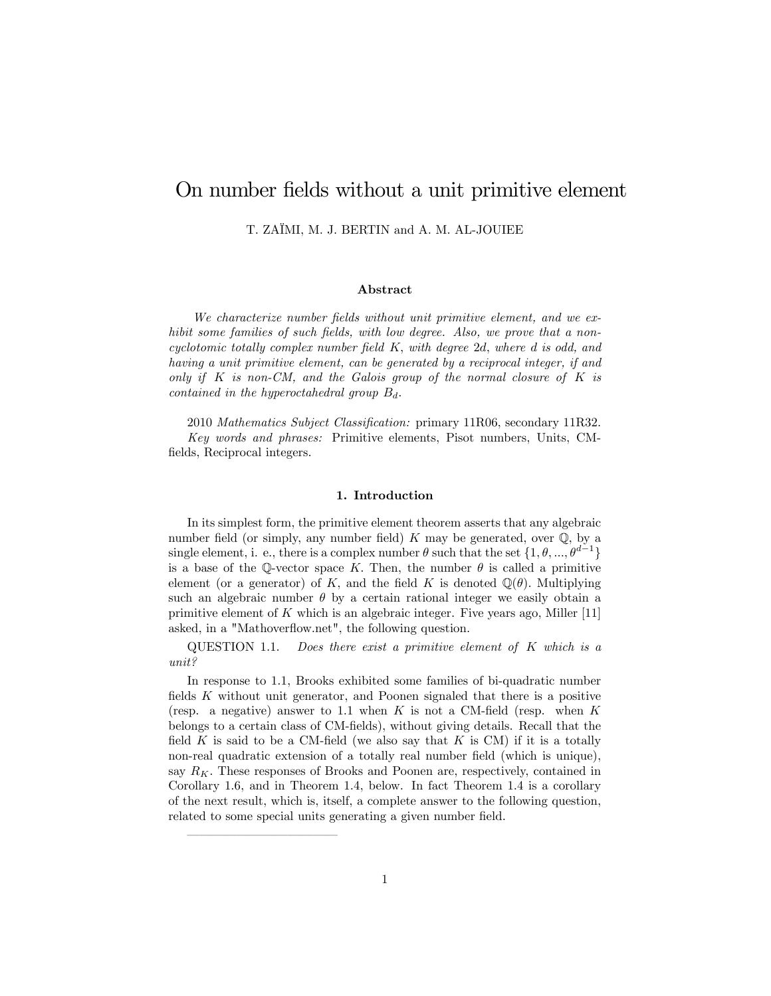# On number fields without a unit primitive element

T. ZAÏMI, M. J. BERTIN and A. M. AL-JOUIEE

# Abstract

We characterize number fields without unit primitive element, and we exhibit some families of such fields, with low degree. Also, we prove that a noncyclotomic totally complex number field  $K$ , with degree 2d, where d is odd, and having a unit primitive element, can be generated by a reciprocal integer, if and only if  $K$  is non-CM, and the Galois group of the normal closure of  $K$  is contained in the hyperoctahedral group  $B_d$ .

2010 Mathematics Subject Classification: primary 11R06, secondary 11R32. Key words and phrases: Primitive elements, Pisot numbers, Units, CMfields, Reciprocal integers.

# 1. Introduction

In its simplest form, the primitive element theorem asserts that any algebraic number field (or simply, any number field)  $K$  may be generated, over  $\mathbb{Q}$ , by a single element, i. e., there is a complex number  $\theta$  such that the set  $\{1, \theta, ..., \theta^{d-1}\}$ is a base of the Q-vector space K. Then, the number  $\theta$  is called a primitive element (or a generator) of K, and the field K is denoted  $\mathbb{Q}(\theta)$ . Multiplying such an algebraic number  $\theta$  by a certain rational integer we easily obtain a primitive element of  $K$  which is an algebraic integer. Five years ago, Miller [11] asked, in a "Mathoverflow.net", the following question.

 $\angle QUESTION 1.1.$  Does there exist a primitive element of K which is a unit?

In response to 1.1, Brooks exhibited some families of bi-quadratic number fields  $K$  without unit generator, and Poonen signaled that there is a positive (resp. a negative) answer to 1.1 when  $K$  is not a CM-field (resp. when  $K$ belongs to a certain class of CM-fields), without giving details. Recall that the field K is said to be a CM-field (we also say that K is CM) if it is a totally non-real quadratic extension of a totally real number field (which is unique), say  $R_K$ . These responses of Brooks and Poonen are, respectively, contained in Corollary 1.6, and in Theorem 1.4, below. In fact Theorem 1.4 is a corollary of the next result, which is, itself, a complete answer to the following question, related to some special units generating a given number field.

ó ó ó ó ó ó ó ó ó ó ó ó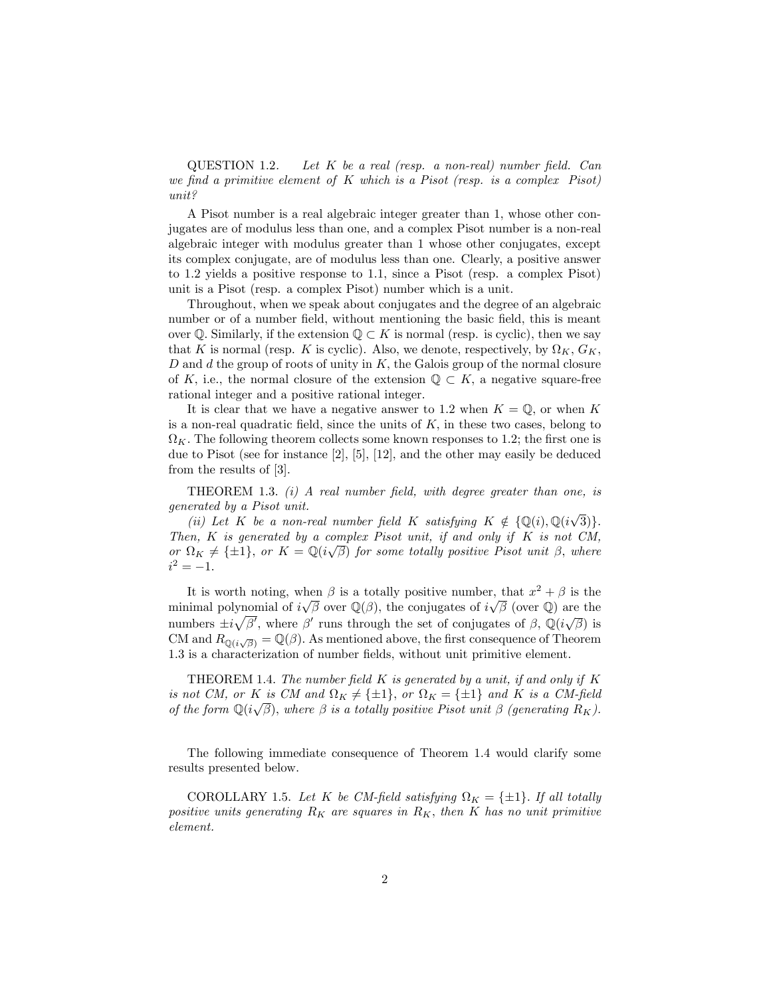$\text{QUESTION 1.2.}$  Let K be a real (resp. a non-real) number field. Can we find a primitive element of  $K$  which is a Pisot (resp. is a complex Pisot) unit?

A Pisot number is a real algebraic integer greater than 1, whose other conjugates are of modulus less than one, and a complex Pisot number is a non-real algebraic integer with modulus greater than 1 whose other conjugates, except its complex conjugate, are of modulus less than one. Clearly, a positive answer to 1.2 yields a positive response to 1.1, since a Pisot (resp. a complex Pisot) unit is a Pisot (resp. a complex Pisot) number which is a unit.

Throughout, when we speak about conjugates and the degree of an algebraic number or of a number field, without mentioning the basic field, this is meant over Q. Similarly, if the extension  $\mathbb{Q} \subset K$  is normal (resp. is cyclic), then we say that K is normal (resp. K is cyclic). Also, we denote, respectively, by  $\Omega_K$ ,  $G_K$ , D and d the group of roots of unity in  $K$ , the Galois group of the normal closure of K, i.e., the normal closure of the extension  $\mathbb{Q} \subset K$ , a negative square-free rational integer and a positive rational integer.

It is clear that we have a negative answer to 1.2 when  $K = \mathbb{Q}$ , or when K is a non-real quadratic field, since the units of  $K$ , in these two cases, belong to  $\Omega_K$ . The following theorem collects some known responses to 1.2; the first one is due to Pisot (see for instance [2], [5], [12], and the other may easily be deduced from the results of [3].

THEOREM 1.3.  $(i)$  A real number field, with degree greater than one, is generated by a Pisot unit.

(ii) Let K be a non-real number field K satisfying  $K \notin \{ \mathbb{Q}(i), \mathbb{Q}(i\sqrt{3}) \}.$ Then,  $K$  is generated by a complex Pisot unit, if and only if  $K$  is not  $CM$ , or  $\Omega_K \neq \{\pm 1\}$ , or  $K = \mathbb{Q}(i\sqrt{\beta})$  for some totally positive Pisot unit  $\beta$ , where  $i^2 = -1.$ 

It is worth noting, when  $\beta$  is a totally positive number, that  $x^2 + \beta$  is the minimal polynomial of  $i\sqrt{\beta}$  over  $\mathbb{Q}(\beta)$ , the conjugates of  $i\sqrt{\beta}$  (over  $\mathbb{Q}$ ) are the numbers  $\pm i\sqrt{\beta'}$ , where  $\beta'$  runs through the set of conjugates of  $\beta$ ,  $\mathbb{Q}(i\sqrt{\beta})$  is CM and  $R_{\mathbb{Q}(i\sqrt{\beta})} = \mathbb{Q}(\beta)$ . As mentioned above, the first consequence of Theorem 1.3 is a characterization of number fields, without unit primitive element.

THEOREM 1.4. The number field  $K$  is generated by a unit, if and only if  $K$ is not CM, or K is CM and  $\Omega_K \neq {\pm 1}$ , or  $\Omega_K = {\pm 1}$  and K is a CM-field of the form  $\mathbb{Q}(i\sqrt{\beta})$ , where  $\beta$  is a totally positive Pisot unit  $\beta$  (generating  $R_K$ ).

The following immediate consequence of Theorem 1.4 would clarify some results presented below.

COROLLARY 1.5. Let K be CM-field satisfying  $\Omega_K = \{\pm 1\}$ . If all totally positive units generating  $R_K$  are squares in  $R_K$ , then K has no unit primitive element.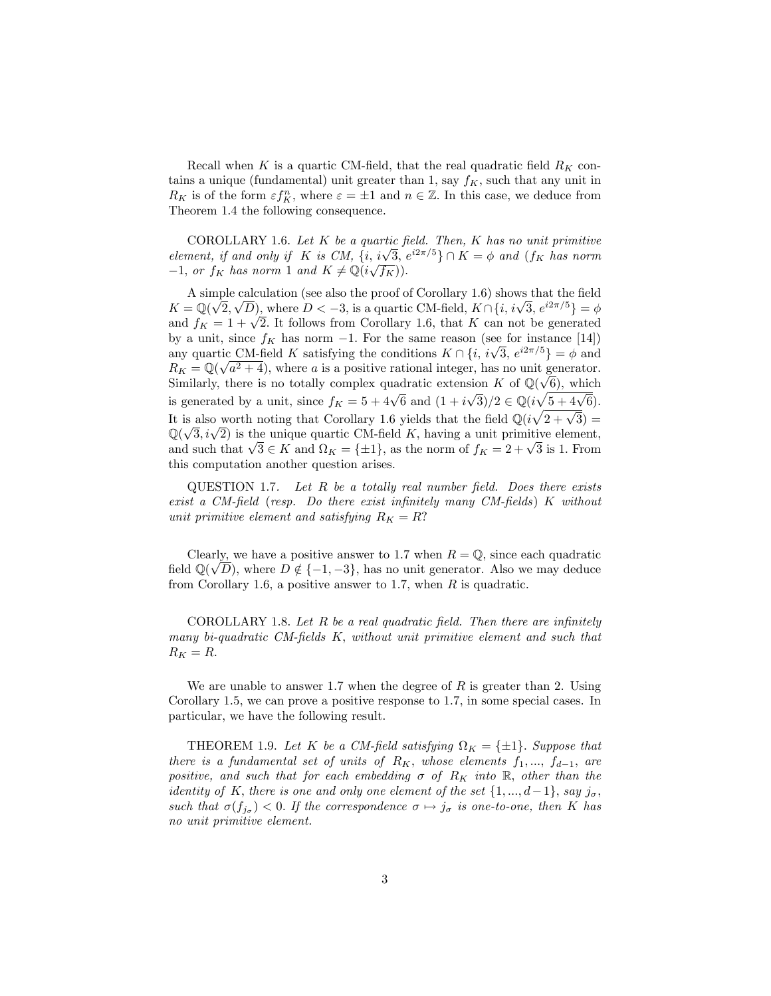Recall when K is a quartic CM-field, that the real quadratic field  $R_K$  contains a unique (fundamental) unit greater than 1, say  $f_K$ , such that any unit in  $R_K$  is of the form  $\varepsilon f_K^n$ , where  $\varepsilon = \pm 1$  and  $n \in \mathbb{Z}$ . In this case, we deduce from Theorem 1.4 the following consequence.

COROLLARY 1.6. Let  $K$  be a quartic field. Then,  $K$  has no unit primitive element, if and only if K is CM,  $\{i, i\sqrt{3}, e^{i2\pi/5}\} \cap K = \phi$  and  $(f_K$  has norm  $-1$ , or  $f_K$  has norm 1 and  $K \neq \mathbb{Q}(i\sqrt{f_K})$ .

A simple calculation (see also the proof of Corollary 1.6) shows that the field  $K = \mathbb{Q}(\sqrt{2}, \sqrt{D})$ , where  $D < -3$ , is a quartic CM-field,  $K \cap \{i, i\sqrt{3}, e^{i2\pi/5}\} = \phi$ and  $f_K = 1 + \sqrt{2}$ . It follows from Corollary 1.6, that K can not be generated by a unit, since  $f_K$  has norm  $-1$ . For the same reason (see for instance [14]) any quartic CM-field K satisfying the conditions  $K \cap \{i, i\sqrt{3}, e^{i2\pi/5}\} = \phi$  and  $R_K = \mathbb{Q}(\sqrt{a^2 + 4})$ , where a is a positive rational integer, has no unit generator. Similarly, there is no totally complex quadratic extension K of  $\mathbb{Q}(\sqrt{6})$ , which is generated by a unit, since  $f_K = 5 + 4\sqrt{6}$  and  $(1 + i\sqrt{3})/2 \in \mathbb{Q}(i\sqrt{5 + 4\sqrt{6}})$ . It is also worth noting that Corollary 1.6 yields that the field  $\mathbb{Q}(i\sqrt{2+\sqrt{3}})$  =  $\mathbb{Q}(\sqrt{3}, i\sqrt{2})$  is the unique quartic CM-field K, having a unit primitive element, and such that  $\sqrt{3} \in K$  and  $\Omega_K = \{\pm 1\}$ , as the norm of  $f_K = 2 + \sqrt{3}$  is 1. From this computation another question arises.

QUESTION 1.7. Let  $R$  be a totally real number field. Does there exists exist a CM-field (resp. Do there exist infinitely many CM-fields)  $K$  without unit primitive element and satisfying  $R_K = R$ ?

Clearly, we have a positive answer to 1.7 when  $R = \mathbb{Q}$ , since each quadratic field  $\mathbb{Q}(\sqrt{D})$ , where  $D \notin \{-1, -3\}$ , has no unit generator. Also we may deduce from Corollary 1.6, a positive answer to 1.7, when  $R$  is quadratic.

COROLLARY 1.8. Let  $R$  be a real quadratic field. Then there are infinitely many bi-quadratic CM-fields K, without unit primitive element and such that  $R_K = R.$ 

We are unable to answer 1.7 when the degree of  $R$  is greater than 2. Using Corollary 1.5, we can prove a positive response to 1.7, in some special cases. In particular, we have the following result.

THEOREM 1.9. Let K be a CM-field satisfying  $\Omega_K = {\pm 1}$ . Suppose that there is a fundamental set of units of  $R_K$ , whose elements  $f_1, ..., f_{d-1}$ , are positive, and such that for each embedding  $\sigma$  of  $R_K$  into  $\mathbb R$ , other than the identity of K, there is one and only one element of the set  $\{1, ..., d-1\}$ , say  $j_{\sigma}$ , such that  $\sigma(f_{j_{\sigma}}) < 0$ . If the correspondence  $\sigma \mapsto j_{\sigma}$  is one-to-one, then K has no unit primitive element.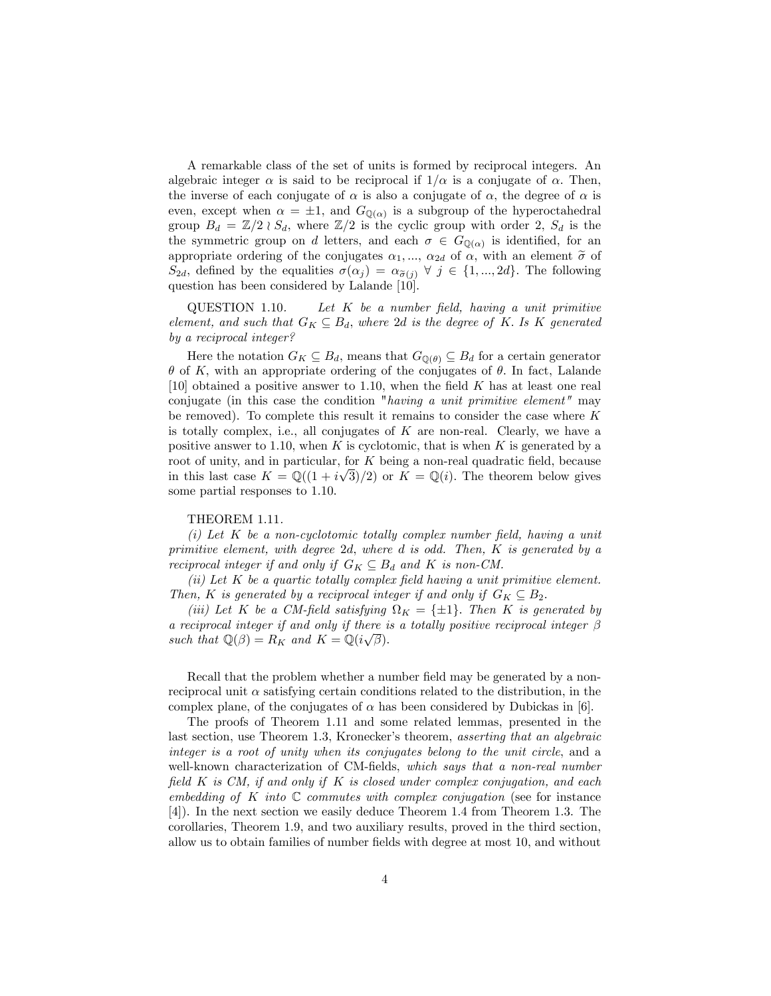A remarkable class of the set of units is formed by reciprocal integers. An algebraic integer  $\alpha$  is said to be reciprocal if  $1/\alpha$  is a conjugate of  $\alpha$ . Then, the inverse of each conjugate of  $\alpha$  is also a conjugate of  $\alpha$ , the degree of  $\alpha$  is even, except when  $\alpha = \pm 1$ , and  $G_{\mathbb{Q}(\alpha)}$  is a subgroup of the hyperoctahedral group  $B_d = \mathbb{Z}/2 \wr S_d$ , where  $\mathbb{Z}/2$  is the cyclic group with order 2,  $S_d$  is the the symmetric group on d letters, and each  $\sigma \in G_{\mathbb{Q}(\alpha)}$  is identified, for an appropriate ordering of the conjugates  $\alpha_1, \dots, \alpha_{2d}$  of  $\alpha$ , with an element  $\tilde{\sigma}$  of  $S_{2d}$ , defined by the equalities  $\sigma(\alpha_j) = \alpha_{\tilde{\sigma}(j)} \forall j \in \{1, ..., 2d\}$ . The following question has been considered by Lalande [10].

 $\text{QUESTION 1.10.}$  Let  $K$  be a number field, having a unit primitive element, and such that  $G_K \subseteq B_d$ , where 2d is the degree of K. Is K generated by a reciprocal integer?

Here the notation  $G_K \subseteq B_d$ , means that  $G_{\mathbb{Q}(\theta)} \subseteq B_d$  for a certain generator  $\theta$  of K; with an appropriate ordering of the conjugates of  $\theta$ . In fact, Lalande [10] obtained a positive answer to 1.10, when the field  $K$  has at least one real conjugate (in this case the condition "having a unit primitive element" may be removed). To complete this result it remains to consider the case where  $K$ is totally complex, i.e., all conjugates of  $K$  are non-real. Clearly, we have a positive answer to 1.10, when  $K$  is cyclotomic, that is when  $K$  is generated by a root of unity, and in particular, for  $K$  being a non-real quadratic field, because in this last case  $K = \mathbb{Q}((1 + i\sqrt{3})/2)$  or  $K = \mathbb{Q}(i)$ . The theorem below gives some partial responses to 1.10.

# THEOREM 1.11.

(i) Let  $K$  be a non-cyclotomic totally complex number field, having a unit primitive element, with degree 2d; where d is odd. Then, K is generated by a reciprocal integer if and only if  $G_K \subseteq B_d$  and K is non-CM.

(ii) Let  $K$  be a quartic totally complex field having a unit primitive element. Then, K is generated by a reciprocal integer if and only if  $G_K \subseteq B_2$ .

(iii) Let K be a CM-field satisfying  $\Omega_K = \{\pm 1\}$ . Then K is generated by a reciprocal integer if and only if there is a totally positive reciprocal integer  $\beta$ such that  $\mathbb{Q}(\beta) = R_K$  and  $K = \mathbb{Q}(i\sqrt{\beta}).$ 

Recall that the problem whether a number field may be generated by a nonreciprocal unit  $\alpha$  satisfying certain conditions related to the distribution, in the complex plane, of the conjugates of  $\alpha$  has been considered by Dubickas in [6].

The proofs of Theorem 1.11 and some related lemmas, presented in the last section, use Theorem 1.3, Kronecker's theorem, asserting that an algebraic integer is a root of unity when its conjugates belong to the unit circle, and a well-known characterization of CM-fields, which says that a non-real number field  $K$  is CM, if and only if  $K$  is closed under complex conjugation, and each embedding of  $K$  into  $\mathbb C$  commutes with complex conjugation (see for instance [4]). In the next section we easily deduce Theorem 1.4 from Theorem 1.3. The corollaries, Theorem 1.9, and two auxiliary results, proved in the third section, allow us to obtain families of number fields with degree at most 10, and without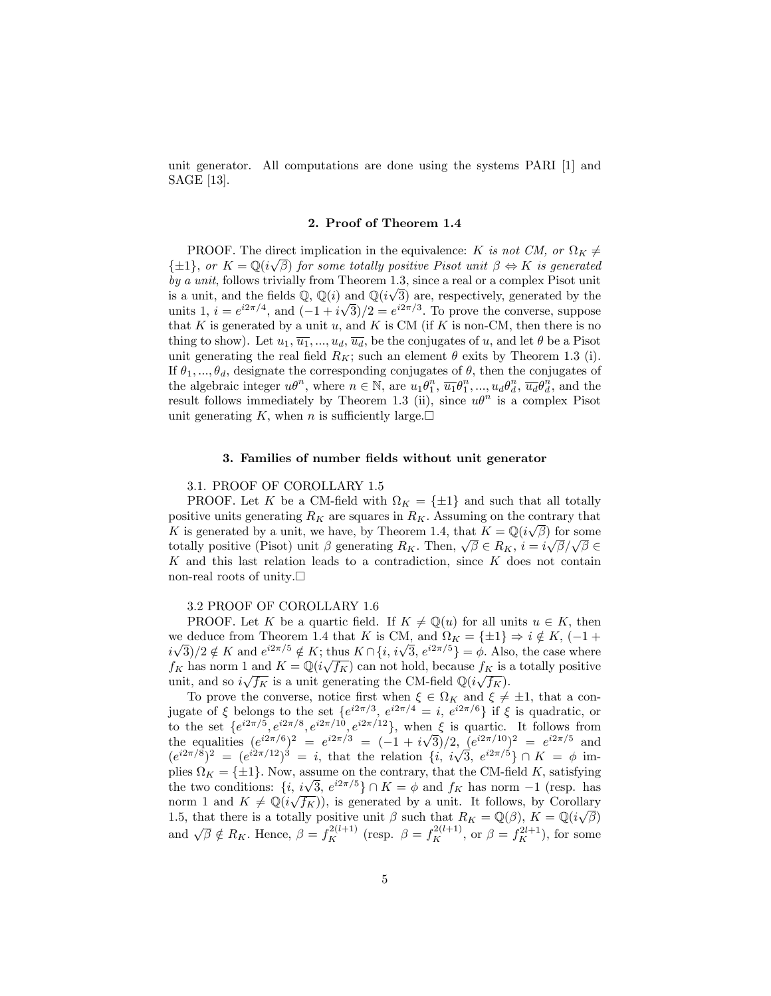unit generator. All computations are done using the systems PARI [1] and SAGE [13].

#### 2. Proof of Theorem 1.4

**PROOF.** The direct implication in the equivalence: K is not CM, or  $\Omega_K \neq$  $\{\pm 1\}$ , or  $K = \mathbb{Q}(i\sqrt{\beta})$  for some totally positive Pisot unit  $\beta \Leftrightarrow K$  is generated by a unit, follows trivially from Theorem 1.3, since a real or a complex Pisot unit is a unit, and the fields  $\mathbb{Q}, \mathbb{Q}(i)$  and  $\mathbb{Q}(i\sqrt{3})$  are, respectively, generated by the units  $1, i = e^{i2\pi/4}$ , and  $(-1 + i\sqrt{3})/2 = e^{i2\pi/3}$ . To prove the converse, suppose that K is generated by a unit  $u$ , and K is CM (if K is non-CM, then there is no thing to show). Let  $u_1, \overline{u_1}, ..., u_d, \overline{u_d}$ , be the conjugates of u, and let  $\theta$  be a Pisot unit generating the real field  $R_K$ ; such an element  $\theta$  exits by Theorem 1.3 (i). If  $\theta_1, ..., \theta_d$ , designate the corresponding conjugates of  $\theta$ , then the conjugates of the algebraic integer  $u\theta^n$ , where  $n \in \mathbb{N}$ , are  $u_1\theta_1^n, \overline{u_1}\theta_1^n, ..., u_d\theta_d^n, \overline{u_d}\theta_d^n$ , and the result follows immediately by Theorem 1.3 (ii), since  $u\theta^n$  is a complex Pisot unit generating K, when n is sufficiently large. $\square$ 

# 3. Families of number fields without unit generator

# 3.1. PROOF OF COROLLARY 1.5

**PROOF.** Let K be a CM-field with  $\Omega_K = \{\pm 1\}$  and such that all totally positive units generating  $R_K$  are squares in  $R_K$ . Assuming on the contrary that K is generated by a unit, we have, by Theorem 1.4, that  $K = \mathbb{Q}(i\sqrt{\beta})$  for some totally positive (Pisot) unit  $\beta$  generating  $R_K$ . Then,  $\sqrt{\beta} \in R_K$ ,  $i = i\sqrt{\beta}/\sqrt{\beta} \in$  $K$  and this last relation leads to a contradiction, since  $K$  does not contain non-real roots of unity. $\square$ 

#### 3.2 PROOF OF COROLLARY 1.6

PROOF. Let K be a quartic field. If  $K \neq \mathbb{Q}(u)$  for all units  $u \in K$ , then we deduce from Theorem 1.4 that K is CM, and  $\Omega_K = {\pm 1} \Rightarrow i \notin K$ , (-1+  $i\sqrt{3}/2 \notin K$  and  $e^{i2\pi/5} \notin K$ ; thus  $K \cap \{i, i\sqrt{3}, e^{i2\pi/5}\} = \phi$ . Also, the case where  $f_K$  has norm 1 and  $K = \mathbb{Q}(i\sqrt{f_K})$  can not hold, because  $f_K$  is a totally positive unit, and so  $i\sqrt{f_K}$  is a unit generating the CM-field  $\mathbb{Q}(i\sqrt{f_K})$ .

To prove the converse, notice first when  $\xi \in \Omega_K$  and  $\xi \neq \pm 1$ , that a conjugate of  $\xi$  belongs to the set  $\{e^{i2\pi/3}, e^{i2\pi/4} = i, e^{i2\pi/6}\}\$  if  $\xi$  is quadratic, or to the set  $\{e^{i2\pi/5}, e^{i2\pi/8}, e^{i2\pi/10}, e^{i2\pi/12}\}$ , when  $\xi$  is quartic. It follows from the equalities  $(e^{i2\pi/6})^2 = e^{i2\pi/3} = (-1 + i\sqrt{3})/2$ ,  $(e^{i2\pi/10})^2 = e^{i2\pi/5}$  and  $(e^{i2\pi/8})^2 = (e^{i2\pi/12})^3 = i$ , that the relation  $\{i, i\sqrt{3}, e^{i2\pi/5}\} \cap K = \phi$  implies  $\Omega_K = \{\pm 1\}$ . Now, assume on the contrary, that the CM-field K, satisfying the two conditions:  $\{i, i\sqrt{3}, e^{i2\pi/5}\} \cap K = \phi$  and  $f_K$  has norm  $-1$  (resp. has norm 1 and  $K \neq \mathbb{Q}(i\sqrt{f_K})$ , is generated by a unit. It follows, by Corollary 1.5, that there is a totally positive unit  $\beta$  such that  $R_K = \mathbb{Q}(\beta)$ ,  $K = \mathbb{Q}(i\sqrt{\beta})$ and  $\sqrt{\beta} \notin R_K$ . Hence,  $\beta = f_K^{2(l+1)}$  (resp.  $\beta = f_K^{2(l+1)}$ , or  $\beta = f_K^{2l+1}$ ), for some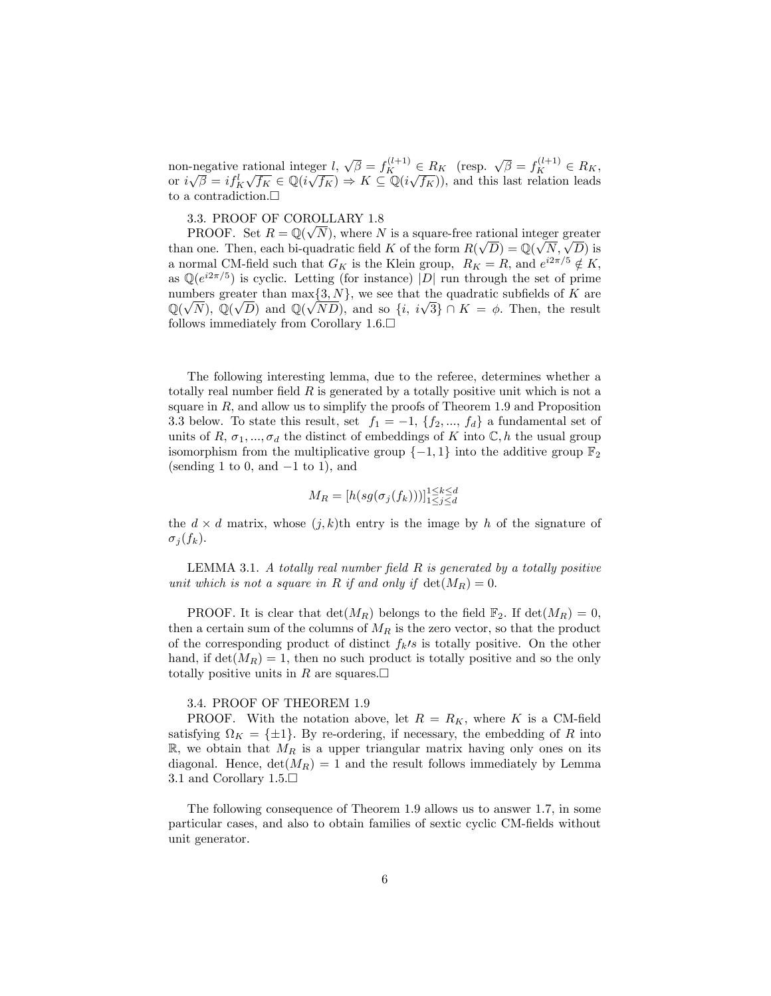non-negative rational integer  $l, \sqrt{\beta} = f_K^{(l+1)} \in R_K$  (resp.  $\sqrt{\beta} = f_K^{(l+1)} \in R_K$ , or  $i\sqrt{\beta} = i f_K^l \sqrt{f_K} \in \mathbb{Q}(i\sqrt{f_K}) \Rightarrow K \subseteq \mathbb{Q}(i\sqrt{f_K})$ , and this last relation leads to a contradiction.  $\Box$ 

# 3.3. PROOF OF COROLLARY 1.8

PROOF. Set  $R = \mathbb{Q}(\sqrt{N})$ , where N is a square-free rational integer greater than one. Then, each bi-quadratic field K of the form  $R(\sqrt{D}) = \mathbb{Q}(\sqrt{N}, \sqrt{D})$  is a normal CM-field such that  $G_K$  is the Klein group,  $R_K = R$ , and  $e^{i2\pi/5} \notin K$ , as  $\mathbb{Q}(e^{i2\pi/5})$  is cyclic. Letting (for instance) |D| run through the set of prime numbers greater than  $\max\{3, N\}$ , we see that the quadratic subfields of K are  $\mathbb{Q}(\sqrt{N})$ ,  $\mathbb{Q}(\sqrt{D})$  and  $\mathbb{Q}(\sqrt{ND})$ , and so  $\{i, i\sqrt{3}\} \cap K = \phi$ . Then, the result follows immediately from Corollary  $1.6$ .

The following interesting lemma, due to the referee, determines whether a totally real number field  $R$  is generated by a totally positive unit which is not a square in  $R$ , and allow us to simplify the proofs of Theorem 1.9 and Proposition 3.3 below. To state this result, set  $f_1 = -1$ ,  $\{f_2, ..., f_d\}$  a fundamental set of units of R,  $\sigma_1, ..., \sigma_d$  the distinct of embeddings of K into  $\mathbb{C}, h$  the usual group isomorphism from the multiplicative group  $\{-1, 1\}$  into the additive group  $\mathbb{F}_2$ (sending 1 to 0, and  $-1$  to 1), and

$$
M_R = [h(sg(\sigma_j(f_k)))]_{1 \le j \le d}^{1 \le k \le d}
$$

the  $d \times d$  matrix, whose  $(j, k)$ th entry is the image by h of the signature of  $\sigma_j (f_k)$ .

LEMMA 3.1. A totally real number field  $R$  is generated by a totally positive unit which is not a square in R if and only if  $\det(M_R) = 0$ .

PROOF. It is clear that  $\det(M_R)$  belongs to the field  $\mathbb{F}_2$ . If  $\det(M_R) = 0$ , then a certain sum of the columns of  $M_R$  is the zero vector, so that the product of the corresponding product of distinct  $f_k/s$  is totally positive. On the other hand, if  $\det(M_R) = 1$ , then no such product is totally positive and so the only totally positive units in R are squares.  $\square$ 

#### 3.4. PROOF OF THEOREM 1.9

PROOF. With the notation above, let  $R = R_K$ , where K is a CM-field satisfying  $\Omega_K = \{\pm 1\}$ . By re-ordering, if necessary, the embedding of R into  $\mathbb{R}$ , we obtain that  $M_R$  is a upper triangular matrix having only ones on its diagonal. Hence,  $\det(M_R) = 1$  and the result follows immediately by Lemma 3.1 and Corollary  $1.5 \square$ 

The following consequence of Theorem 1.9 allows us to answer 1.7, in some particular cases, and also to obtain families of sextic cyclic CM-fields without unit generator.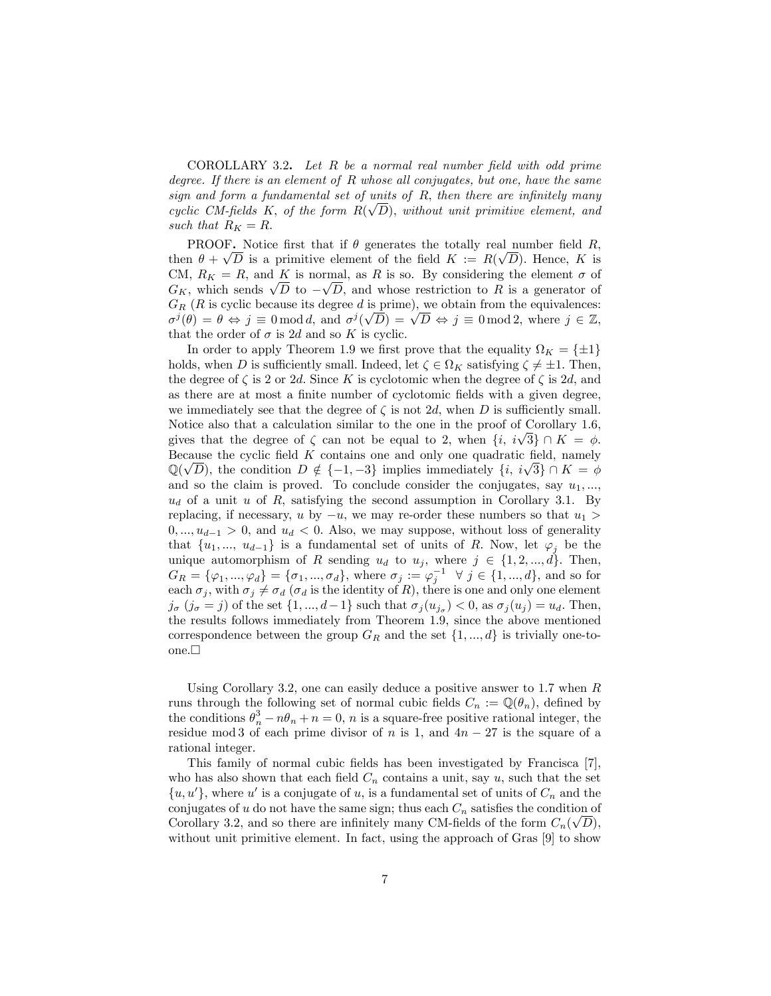COROLLARY 3.2. Let  $R$  be a normal real number field with odd prime degree. If there is an element of R whose all conjugates, but one, have the same sign and form a fundamental set of units of  $R$ , then there are infinitely many cyclic CM-fields K, of the form  $R(\sqrt{D})$ , without unit primitive element, and such that  $R_K = R$ .

**PROOF.** Notice first that if  $\theta$  generates the totally real number field R. then  $\theta + \sqrt{D}$  is a primitive element of the field  $K := R(\sqrt{D})$ . Hence, K is CM,  $R_K = R$ , and K is normal, as R is so. By considering the element  $\sigma$  of  $G_K$ , which sends  $\sqrt{D}$  to  $-\sqrt{D}$ , and whose restriction to R is a generator of  $G_R$  (R is cyclic because its degree d is prime), we obtain from the equivalences:  $\sigma^j(\theta) = \theta \Leftrightarrow j \equiv 0 \mod d$ , and  $\sigma^j(\sqrt{D}) = \sqrt{D} \Leftrightarrow j \equiv 0 \mod 2$ , where  $j \in \mathbb{Z}$ , that the order of  $\sigma$  is 2d and so K is cyclic.

In order to apply Theorem 1.9 we first prove that the equality  $\Omega_K = \{\pm 1\}$ holds, when D is sufficiently small. Indeed, let  $\zeta \in \Omega_K$  satisfying  $\zeta \neq \pm 1$ . Then, the degree of  $\zeta$  is 2 or 2d. Since K is cyclotomic when the degree of  $\zeta$  is 2d, and as there are at most a finite number of cyclotomic fields with a given degree, we immediately see that the degree of  $\zeta$  is not 2d, when D is sufficiently small. Notice also that a calculation similar to the one in the proof of Corollary 1.6, gives that the degree of  $\zeta$  can not be equal to 2, when  $\{i, i\sqrt{3}\} \cap K = \phi$ . Because the cyclic field  $K$  contains one and only one quadratic field, namely  $\mathbb{Q}(\sqrt{D})$ , the condition  $D \notin \{-1, -3\}$  implies immediately  $\{i, i\sqrt{3}\} \cap K = \phi$ and so the claim is proved. To conclude consider the conjugates, say  $u_1, \ldots,$  $u_d$  of a unit u of R, satisfying the second assumption in Corollary 3.1. By replacing, if necessary, u by  $-u$ , we may re-order these numbers so that  $u_1 >$  $0, \ldots, u_{d-1} > 0$ , and  $u_d < 0$ . Also, we may suppose, without loss of generality that  $\{u_1, ..., u_{d-1}\}$  is a fundamental set of units of R. Now, let  $\varphi_i$  be the unique automorphism of R sending  $u_d$  to  $u_j$ , where  $j \in \{1, 2, ..., d\}$ . Then,  $G_R = \{\varphi_1, ..., \varphi_d\} = \{\sigma_1, ..., \sigma_d\}$ , where  $\sigma_j := \varphi_j^{-1} \ \ \forall \ j \in \{1, ..., d\}$ , and so for each  $\sigma_j$ , with  $\sigma_j \neq \sigma_d$  ( $\sigma_d$  is the identity of R), there is one and only one element  $j_{\sigma}$   $(j_{\sigma} = j)$  of the set  $\{1, ..., d-1\}$  such that  $\sigma_j (u_{j_{\sigma}}) < 0$ , as  $\sigma_j (u_j) = u_d$ . Then, the results follows immediately from Theorem 1.9, since the above mentioned correspondence between the group  $G_R$  and the set  $\{1, ..., d\}$  is trivially one-toone. $\square$ 

Using Corollary 3.2, one can easily deduce a positive answer to 1.7 when  $R$ runs through the following set of normal cubic fields  $C_n := \mathbb{Q}(\theta_n)$ , defined by the conditions  $\theta_n^3 - n\theta_n + n = 0$ , *n* is a square-free positive rational integer, the residue mod 3 of each prime divisor of n is 1, and  $4n - 27$  is the square of a rational integer.

This family of normal cubic fields has been investigated by Francisca [7], who has also shown that each field  $C_n$  contains a unit, say u, such that the set  $\{u, u'\}$ , where u' is a conjugate of u, is a fundamental set of units of  $C_n$  and the conjugates of  $u$  do not have the same sign; thus each  $C_n$  satisfies the condition of Corollary 3.2, and so there are infinitely many CM-fields of the form  $C_n(\sqrt{D})$ , without unit primitive element. In fact, using the approach of Gras [9] to show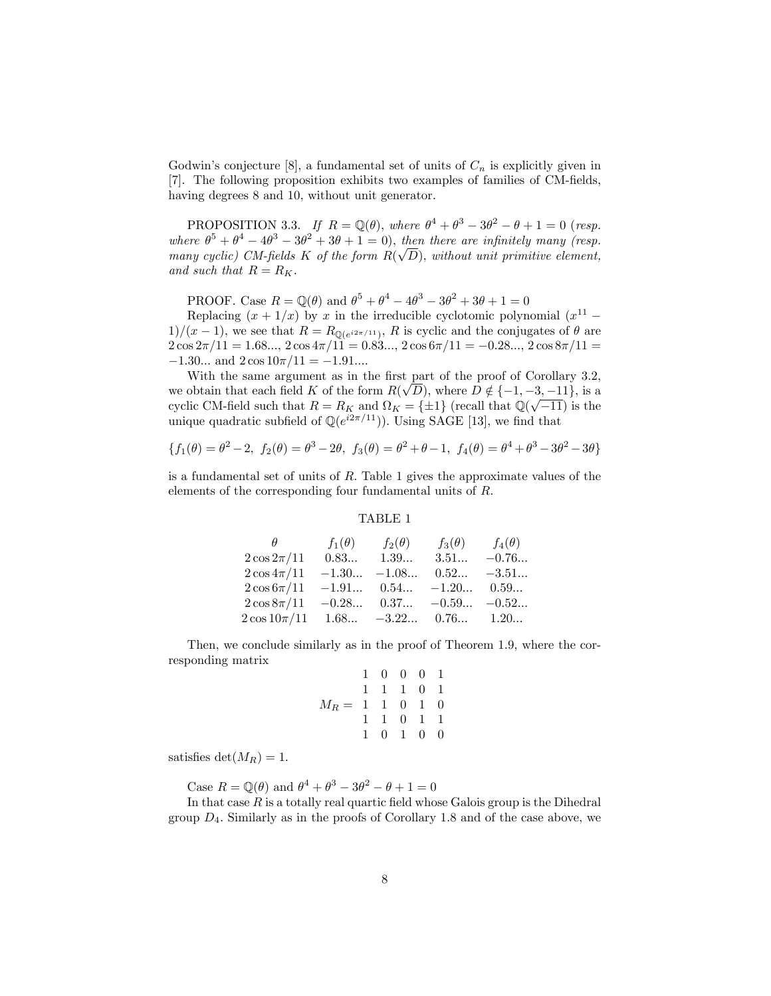Godwin's conjecture [8], a fundamental set of units of  $C_n$  is explicitly given in [7]. The following proposition exhibits two examples of families of CM-fields, having degrees 8 and 10, without unit generator.

PROPOSITION 3.3. If  $R = \mathbb{Q}(\theta)$ , where  $\theta^4 + \theta^3 - 3\theta^2 - \theta + 1 = 0$  (resp. where  $\theta^5 + \theta^4 - 4\theta^3 - 3\theta^2 + 3\theta + 1 = 0$ , then there are infinitely many (resp. many cyclic) CM-fields K of the form  $R(\sqrt{D})$ , without unit primitive element, and such that  $R = R_K$ .

PROOF. Case  $R = \mathbb{Q}(\theta)$  and  $\theta^5 + \theta^4 - 4\theta^3 - 3\theta^2 + 3\theta + 1 = 0$ 

Replacing  $(x + 1/x)$  by x in the irreducible cyclotomic polynomial  $(x^{11} 1/(x-1)$ , we see that  $R = R_{\mathbb{Q}(e^{i2\pi/11})}$ , R is cyclic and the conjugates of  $\theta$  are  $2\cos 2\pi/11 = 1.68..., 2\cos 4\pi/11 = 0.83..., 2\cos 6\pi/11 = -0.28..., 2\cos 8\pi/11 =$  $-1.30...$  and  $2 \cos 10\pi/11 = -1.91...$ 

With the same argument as in the first part of the proof of Corollary 3.2, we obtain that each field K of the form  $R(\sqrt{D})$ , where  $D \notin \{-1, -3, -11\}$ , is a cyclic CM-field such that  $R = R_K$  and  $\Omega_K = {\pm 1}$  (recall that  $\mathbb{Q}(\sqrt{-11})$  is the unique quadratic subfield of  $\mathbb{Q}(e^{i2\pi/11})$ . Using SAGE [13], we find that

$$
\{f_1(\theta) = \theta^2 - 2, f_2(\theta) = \theta^3 - 2\theta, f_3(\theta) = \theta^2 + \theta - 1, f_4(\theta) = \theta^4 + \theta^3 - 3\theta^2 - 3\theta\}
$$

is a fundamental set of units of  $R$ . Table 1 gives the approximate values of the elements of the corresponding four fundamental units of  $R$ .

### TABLE 1

|                                         | $f_1(\theta)$             | $f_2(\theta)$                | $f_3(\theta)$ | $f_4(\theta)$  |
|-----------------------------------------|---------------------------|------------------------------|---------------|----------------|
| $2\cos 2\pi/11$                         | 0.83                      | 1.39                         | 3.51          | $-0.76$        |
| $2\cos 4\pi/11$                         |                           | $-1.30$ $-1.08$              |               | $0.52$ $-3.51$ |
| $2\cos 6\pi/11$                         | $-1.91$ 0.54 $-1.20$ 0.59 |                              |               |                |
| $2\cos 8\pi/11$                         |                           | $-0.28$ 0.37 $-0.59$ $-0.52$ |               |                |
| $2\cos 10\pi/11$ 1.68 $-3.22$ 0.76 1.20 |                           |                              |               |                |

Then, we conclude similarly as in the proof of Theorem 1.9, where the corresponding matrix

$$
M_R = \begin{array}{ccccccc} & 1 & 0 & 0 & 0 & 1 \\ & 1 & 1 & 1 & 0 & 1 \\ 1 & 1 & 0 & 1 & 0 \\ & 1 & 1 & 0 & 1 & 1 \\ & 1 & 0 & 1 & 0 & 0 \end{array}
$$

satisfies  $\det(M_R) = 1$ .

Case  $R = \mathbb{Q}(\theta)$  and  $\theta^4 + \theta^3 - 3\theta^2 - \theta + 1 = 0$ 

In that case  $R$  is a totally real quartic field whose Galois group is the Dihedral group  $D_4$ . Similarly as in the proofs of Corollary 1.8 and of the case above, we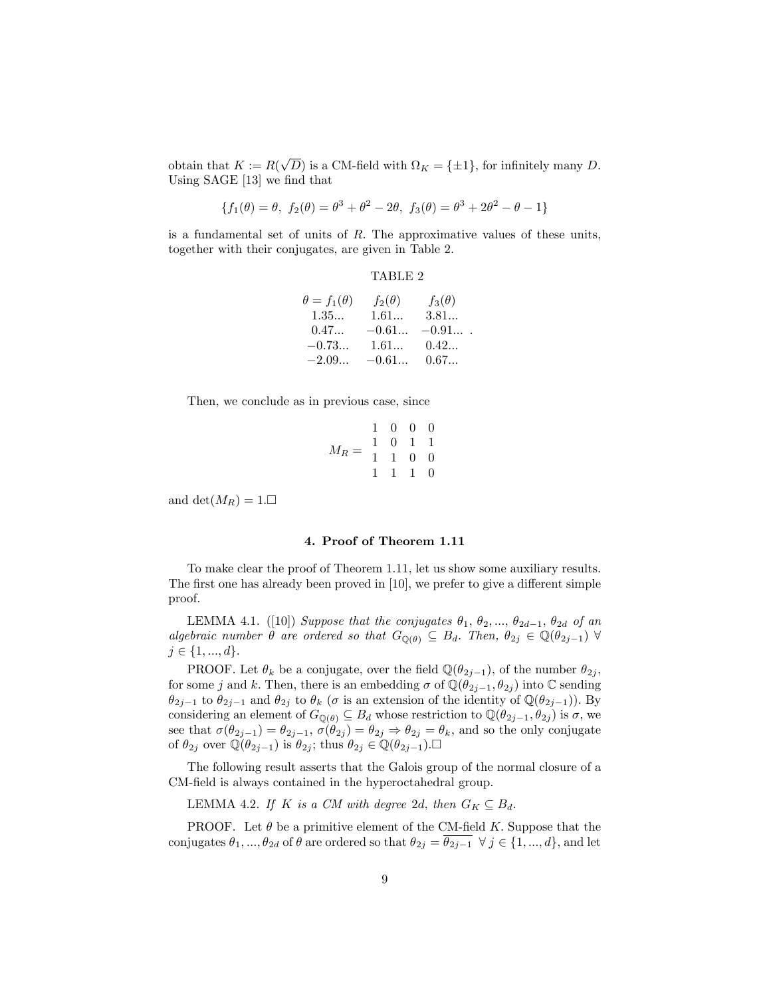obtain that  $K := R(\sqrt{D})$  is a CM-field with  $\Omega_K = \{\pm 1\}$ , for infinitely many D. Using  $SAGE$  [13] we find that

$$
\{f_1(\theta) = \theta, f_2(\theta) = \theta^3 + \theta^2 - 2\theta, f_3(\theta) = \theta^3 + 2\theta^2 - \theta - 1\}
$$

is a fundamental set of units of  $R$ . The approximative values of these units, together with their conjugates, are given in Table 2.

# TABLE 2

| $\theta = f_1(\theta)$ | $f_2(\theta)$ | $f_3(\theta)$ |
|------------------------|---------------|---------------|
| 1.35                   | 1.61          | 3.81          |
| 0.47                   | $-0.61$       | $-0.91$       |
| $-0.73$                | 1.61          | 0.42          |
| $-2.09$                | $-0.61$       | 0.67          |
|                        |               |               |

Then, we conclude as in previous case, since

$$
M_R = \begin{array}{cccccc} & 1 & 0 & 0 & 0 \\ 1 & 0 & 1 & 1 \\ 1 & 1 & 0 & 0 \\ 1 & 1 & 1 & 0 \end{array}
$$

and det $(M_R) = 1$ .

#### 4. Proof of Theorem 1.11

To make clear the proof of Theorem 1.11, let us show some auxiliary results. The first one has already been proved in  $[10]$ , we prefer to give a different simple proof.

LEMMA 4.1. ([10]) Suppose that the conjugates  $\theta_1, \theta_2, ..., \theta_{2d-1}, \theta_{2d}$  of an algebraic number  $\theta$  are ordered so that  $G_{\mathbb{Q}(\theta)} \subseteq B_d$ . Then,  $\theta_{2j} \in \mathbb{Q}(\theta_{2j-1})$   $\forall$  $j \in \{1, ..., d\}.$ 

PROOF. Let  $\theta_k$  be a conjugate, over the field  $\mathbb{Q}(\theta_{2j-1})$ , of the number  $\theta_{2j}$ , for some j and k. Then, there is an embedding  $\sigma$  of  $\mathbb{Q}(\theta_{2i-1}, \theta_{2i})$  into  $\mathbb{C}$  sending  $\theta_{2j-1}$  to  $\theta_{2j-1}$  and  $\theta_{2j}$  to  $\theta_k$  ( $\sigma$  is an extension of the identity of  $\mathbb{Q}(\theta_{2j-1})$ ). By considering an element of  $G_{\mathbb{Q}(\theta)} \subseteq B_d$  whose restriction to  $\mathbb{Q}(\theta_{2j-1}, \theta_{2j})$  is  $\sigma$ , we see that  $\sigma(\theta_{2j-1}) = \theta_{2j-1}, \sigma(\theta_{2j}) = \theta_{2j} \Rightarrow \theta_{2j} = \theta_k$ , and so the only conjugate of  $\theta_{2j}$  over  $\mathbb{Q}(\theta_{2j-1})$  is  $\theta_{2j}$ ; thus  $\theta_{2j} \in \mathbb{Q}(\theta_{2j-1}).\square$ 

The following result asserts that the Galois group of the normal closure of a CM-field is always contained in the hyperoctahedral group.

LEMMA 4.2. If K is a CM with degree 2d, then  $G_K \subseteq B_d$ .

PROOF. Let  $\theta$  be a primitive element of the CM-field K. Suppose that the conjugates  $\theta_1, ..., \theta_{2d}$  of  $\theta$  are ordered so that  $\theta_{2j} = \overline{\theta_{2j-1}} \ \forall j \in \{1, ..., d\}$ , and let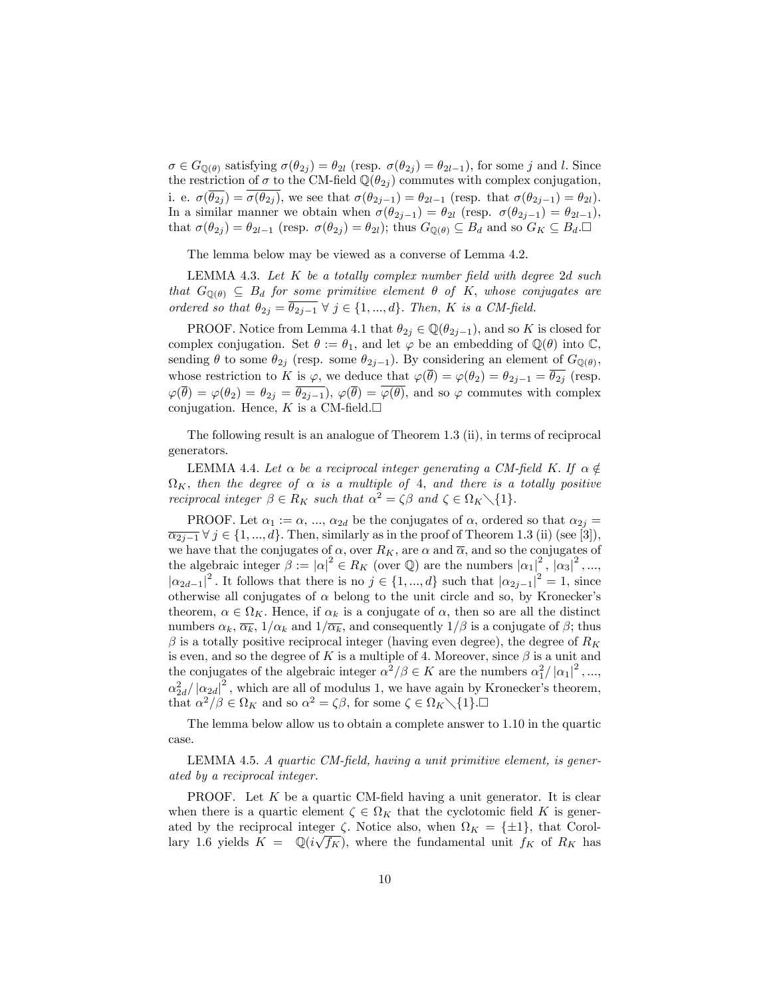$\sigma \in G_{\mathbb{Q}(\theta)}$  satisfying  $\sigma(\theta_{2j}) = \theta_{2l}$  (resp.  $\sigma(\theta_{2j}) = \theta_{2l-1}$ ), for some j and l. Since the restriction of  $\sigma$  to the CM-field  $\mathbb{Q}(\theta_{2i})$  commutes with complex conjugation, i. e.  $\sigma(\overline{\theta_{2j}}) = \overline{\sigma(\theta_{2j})}$ , we see that  $\sigma(\theta_{2j-1}) = \theta_{2l-1}$  (resp. that  $\sigma(\theta_{2j-1}) = \theta_{2l}$ ). In a similar manner we obtain when  $\sigma(\theta_{2j-1}) = \theta_{2l}$  (resp.  $\sigma(\theta_{2j-1}) = \theta_{2l-1}$ ), that  $\sigma(\theta_{2j}) = \theta_{2l-1}$  (resp.  $\sigma(\theta_{2j}) = \theta_{2l}$ ); thus  $G_{\mathbb{Q}(\theta)} \subseteq B_d$  and so  $G_K \subseteq B_d$ .

The lemma below may be viewed as a converse of Lemma 4.2.

LEMMA 4.3. Let  $K$  be a totally complex number field with degree 2d such that  $G_{\mathbb{Q}(\theta)} \subseteq B_d$  for some primitive element  $\theta$  of K, whose conjugates are ordered so that  $\theta_{2j} = \theta_{2j-1} \ \forall \ j \in \{1, ..., d\}$ . Then, K is a CM-field.

PROOF. Notice from Lemma 4.1 that  $\theta_{2j} \in \mathbb{Q}(\theta_{2j-1})$ , and so K is closed for complex conjugation. Set  $\theta := \theta_1$ , and let  $\varphi$  be an embedding of  $\mathbb{Q}(\theta)$  into  $\mathbb{C}$ , sending  $\theta$  to some  $\theta_{2j}$  (resp. some  $\theta_{2j-1}$ ). By considering an element of  $G_{\mathbb{Q}(\theta)}$ , whose restriction to K is  $\varphi$ , we deduce that  $\varphi(\overline{\theta}) = \varphi(\theta_2) = \theta_{2j-1} = \overline{\theta_{2j}}$  (resp.  $\varphi(\overline{\theta}) = \varphi(\theta_2) = \theta_{2j} = \overline{\theta_{2j-1}}$ ,  $\varphi(\overline{\theta}) = \overline{\varphi(\theta)}$ , and so  $\varphi$  commutes with complex conjugation. Hence, K is a CM-field. $\square$ 

The following result is an analogue of Theorem 1.3 (ii), in terms of reciprocal generators.

LEMMA 4.4. Let  $\alpha$  be a reciprocal integer generating a CM-field K. If  $\alpha \notin$  $\Omega_K,$  then the degree of  $\alpha$  is a multiple of 4, and there is a totally positive reciprocal integer  $\beta \in R_K$  such that  $\alpha^2 = \zeta \beta$  and  $\zeta \in \Omega_K \setminus \{1\}.$ 

PROOF. Let  $\alpha_1 := \alpha, ..., \alpha_{2d}$  be the conjugates of  $\alpha$ , ordered so that  $\alpha_{2i} =$  $\overline{\alpha_{2j-1}} \forall j \in \{1, ..., d\}$ . Then, similarly as in the proof of Theorem 1.3 (ii) (see [3]), we have that the conjugates of  $\alpha$ , over  $R_K$ , are  $\alpha$  and  $\overline{\alpha}$ , and so the conjugates of the algebraic integer  $\beta := |\alpha|^2 \in R_K$  (over  $\mathbb{Q}$ ) are the numbers  $|\alpha_1|^2$ ,  $|\alpha_3|^2$ , ...,  $|\alpha_{2d-1}|^2$ . It follows that there is no  $j \in \{1, ..., d\}$  such that  $|\alpha_{2j-1}|^2 = 1$ , since otherwise all conjugates of  $\alpha$  belong to the unit circle and so, by Kronecker's theorem,  $\alpha \in \Omega_K$ . Hence, if  $\alpha_k$  is a conjugate of  $\alpha$ , then so are all the distinct numbers  $\alpha_k$ ,  $\overline{\alpha_k}$ ,  $1/\alpha_k$  and  $1/\overline{\alpha_k}$ , and consequently  $1/\beta$  is a conjugate of  $\beta$ ; thus  $\beta$  is a totally positive reciprocal integer (having even degree), the degree of  $R_K$ is even, and so the degree of K is a multiple of 4. Moreover, since  $\beta$  is a unit and the conjugates of the algebraic integer  $\alpha^2/\beta \in K$  are the numbers  $\alpha_1^2/|\alpha_1|^2$ ,...,  $\alpha_{2d}^2/\left|\alpha_{2d}\right|^2$ , which are all of modulus 1, we have again by Kronecker's theorem, that  $\alpha^2/\beta \in \Omega_K$  and so  $\alpha^2 = \zeta \beta$ , for some  $\zeta \in \Omega_K \setminus \{1\}$ .

The lemma below allow us to obtain a complete answer to 1.10 in the quartic case.

LEMMA 4.5. A quartic CM-field, having a unit primitive element, is generated by a reciprocal integer.

PROOF. Let  $K$  be a quartic CM-field having a unit generator. It is clear when there is a quartic element  $\zeta \in \Omega_K$  that the cyclotomic field K is generated by the reciprocal integer  $\zeta$ . Notice also, when  $\Omega_K = {\pm 1}$ , that Corollary 1.6 yields  $K = \mathbb{Q}(i\sqrt{f_K})$ , where the fundamental unit  $f_K$  of  $R_K$  has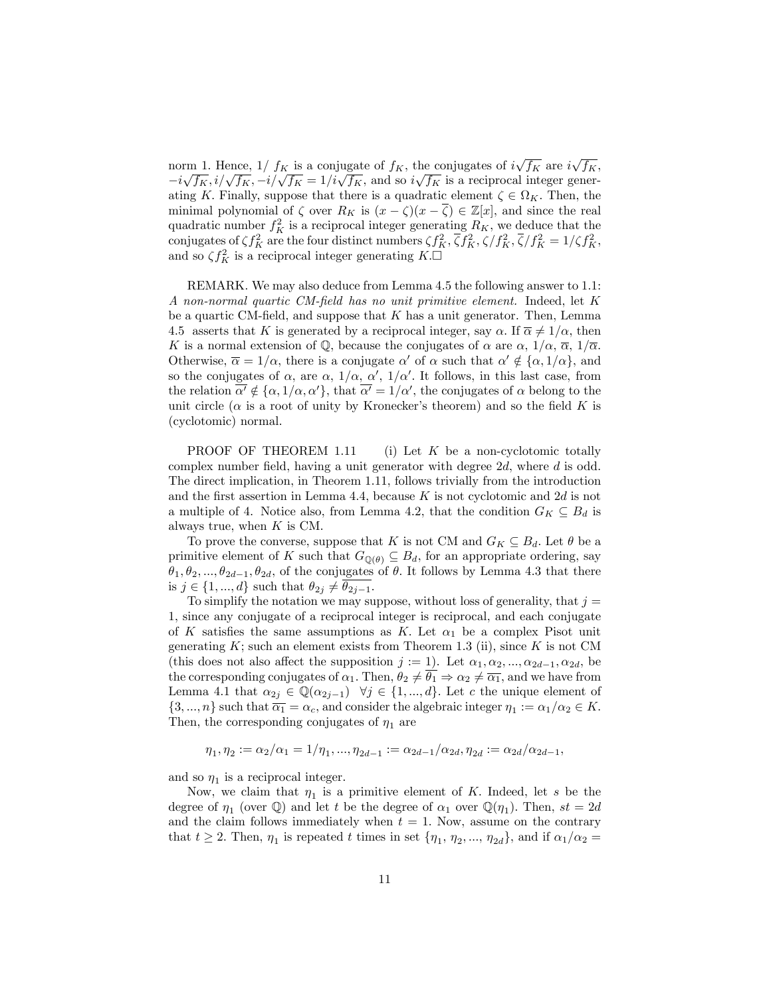norm 1. Hence,  $1/ f_K$  is a conjugate of  $f_K$ , the conjugates of  $i\sqrt{f_K}$  are  $i\sqrt{f_K}$ ,  $-i\sqrt{f_K}, i/\sqrt{f_K}, -i/\sqrt{f_K} = 1/i\sqrt{f_K}$ , and so  $i\sqrt{f_K}$  is a reciprocal integer generating K. Finally, suppose that there is a quadratic element  $\zeta \in \Omega_K$ . Then, the minimal polynomial of  $\zeta$  over  $R_K$  is  $(x - \zeta)(x - \overline{\zeta}) \in \mathbb{Z}[x]$ , and since the real quadratic number  $f_K^2$  is a reciprocal integer generating  $R_K$ , we deduce that the conjugates of  $\zeta f_K^2$  are the four distinct numbers  $\zeta f_K^2$ ,  $\overline{\zeta} f_K^2$ ,  $\zeta/f_K^2$ ,  $\overline{\zeta}/f_K^2 = 1/\zeta f_K^2$ , and so  $\zeta f_K^2$  is a reciprocal integer generating  $K.\Box$ 

REMARK. We may also deduce from Lemma 4.5 the following answer to 1.1: A non-normal quartic CM-field has no unit primitive element. Indeed, let K be a quartic CM-field, and suppose that  $K$  has a unit generator. Then, Lemma 4.5 asserts that K is generated by a reciprocal integer, say  $\alpha$ . If  $\overline{\alpha} \neq 1/\alpha$ , then K is a normal extension of Q, because the conjugates of  $\alpha$  are  $\alpha$ ,  $1/\alpha$ ,  $\overline{\alpha}$ ,  $1/\overline{\alpha}$ . Otherwise,  $\overline{\alpha} = 1/\alpha$ , there is a conjugate  $\alpha'$  of  $\alpha$  such that  $\alpha' \notin {\alpha, 1/\alpha}$ , and so the conjugates of  $\alpha$ , are  $\alpha$ ,  $1/\alpha$ ,  $\alpha'$ ,  $1/\alpha'$ . It follows, in this last case, from the relation  $\alpha' \notin {\alpha, 1/\alpha, \alpha'}$ , that  $\alpha' = 1/\alpha'$ , the conjugates of  $\alpha$  belong to the unit circle ( $\alpha$  is a root of unity by Kronecker's theorem) and so the field K is (cyclotomic) normal.

**PROOF OF THEOREM 1.11** (i) Let  $K$  be a non-cyclotomic totally complex number field, having a unit generator with degree  $2d$ , where d is odd. The direct implication, in Theorem 1.11, follows trivially from the introduction and the first assertion in Lemma 4.4, because  $K$  is not cyclotomic and  $2d$  is not a multiple of 4. Notice also, from Lemma 4.2, that the condition  $G_K \subseteq B_d$  is always true, when  $K$  is CM.

To prove the converse, suppose that K is not CM and  $G_K \subseteq B_d$ . Let  $\theta$  be a primitive element of K such that  $G_{\mathbb{Q}(\theta)} \subseteq B_d$ , for an appropriate ordering, say  $\theta_1, \theta_2, ..., \theta_{2d-1}, \theta_{2d}$ , of the conjugates of  $\theta$ . It follows by Lemma 4.3 that there is  $j \in \{1, ..., d\}$  such that  $\theta_{2j} \neq \overline{\theta_{2j-1}}$ .

To simplify the notation we may suppose, without loss of generality, that  $j =$ 1; since any conjugate of a reciprocal integer is reciprocal, and each conjugate of K satisfies the same assumptions as K. Let  $\alpha_1$  be a complex Pisot unit generating  $K$ ; such an element exists from Theorem 1.3 (ii), since  $K$  is not CM (this does not also affect the supposition  $j := 1$ ). Let  $\alpha_1, \alpha_2, ..., \alpha_{2d-1}, \alpha_{2d}$ , be the corresponding conjugates of  $\alpha_1$ . Then,  $\theta_2 \neq \overline{\theta_1} \Rightarrow \alpha_2 \neq \overline{\alpha_1}$ , and we have from Lemma 4.1 that  $\alpha_{2j} \in \mathbb{Q}(\alpha_{2j-1})$   $\forall j \in \{1, ..., d\}$ . Let c the unique element of  $\{3, ..., n\}$  such that  $\overline{\alpha_1} = \alpha_c$ , and consider the algebraic integer  $\eta_1 := \alpha_1/\alpha_2 \in K$ . Then, the corresponding conjugates of  $\eta_1$  are

$$
\eta_1, \eta_2 := \alpha_2/\alpha_1 = 1/\eta_1, ..., \eta_{2d-1} := \alpha_{2d-1}/\alpha_{2d}, \eta_{2d} := \alpha_{2d}/\alpha_{2d-1},
$$

and so  $\eta_1$  is a reciprocal integer.

Now, we claim that  $\eta_1$  is a primitive element of K. Indeed, let s be the degree of  $\eta_1$  (over  $\mathbb{Q}$ ) and let t be the degree of  $\alpha_1$  over  $\mathbb{Q}(\eta_1)$ . Then,  $st = 2d$ and the claim follows immediately when  $t = 1$ . Now, assume on the contrary that  $t \ge 2$ . Then,  $\eta_1$  is repeated t times in set  $\{\eta_1, \eta_2, ..., \eta_{2d}\}$ , and if  $\alpha_1/\alpha_2 =$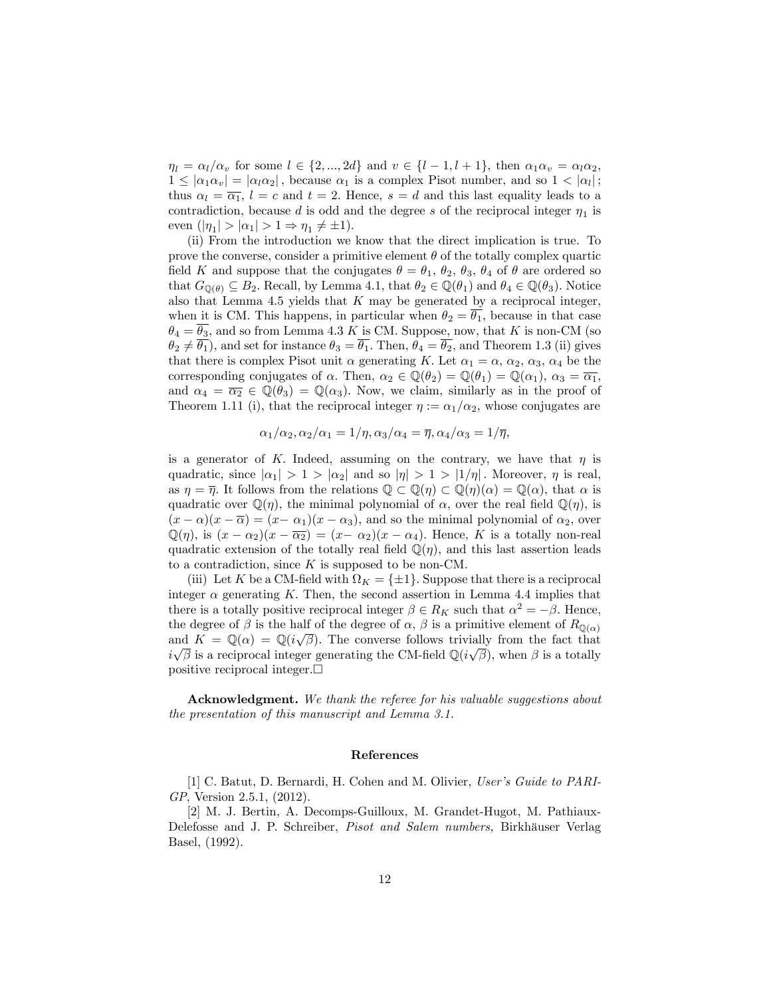$\eta_l = \alpha_l/\alpha_v$  for some  $l \in \{2, ..., 2d\}$  and  $v \in \{l - 1, l + 1\}$ , then  $\alpha_1\alpha_v = \alpha_l\alpha_2$ ,  $1 \leq |\alpha_1\alpha_v| = |\alpha_l\alpha_2|$ , because  $\alpha_1$  is a complex Pisot number, and so  $1 < |\alpha_l|$ ; thus  $\alpha_l = \overline{\alpha_1}$ ,  $l = c$  and  $t = 2$ . Hence,  $s = d$  and this last equality leads to a contradiction, because d is odd and the degree s of the reciprocal integer  $\eta_1$  is even  $(|\eta_1| > |\alpha_1| > 1 \Rightarrow \eta_1 \neq \pm 1).$ 

(ii) From the introduction we know that the direct implication is true. To prove the converse, consider a primitive element  $\theta$  of the totally complex quartic field K and suppose that the conjugates  $\theta = \theta_1, \theta_2, \theta_3, \theta_4$  of  $\theta$  are ordered so that  $G_{\mathbb{Q}(\theta)} \subseteq B_2$ . Recall, by Lemma 4.1, that  $\theta_2 \in \mathbb{Q}(\theta_1)$  and  $\theta_4 \in \mathbb{Q}(\theta_3)$ . Notice also that Lemma 4.5 yields that  $K$  may be generated by a reciprocal integer, when it is CM. This happens, in particular when  $\theta_2 = \overline{\theta_1}$ , because in that case  $\theta_4 = \overline{\theta_3}$ , and so from Lemma 4.3 K is CM. Suppose, now, that K is non-CM (so  $\theta_2 \neq \overline{\theta_1}$ , and set for instance  $\theta_3 = \overline{\theta_1}$ . Then,  $\theta_4 = \overline{\theta_2}$ , and Theorem 1.3 (ii) gives that there is complex Pisot unit  $\alpha$  generating K. Let  $\alpha_1 = \alpha$ ,  $\alpha_2$ ,  $\alpha_3$ ,  $\alpha_4$  be the corresponding conjugates of  $\alpha$ . Then,  $\alpha_2 \in \mathbb{Q}(\theta_2) = \mathbb{Q}(\theta_1) = \mathbb{Q}(\alpha_1), \ \alpha_3 = \overline{\alpha_1}$ , and  $\alpha_4 = \overline{\alpha_2} \in \mathbb{Q}(\theta_3) = \mathbb{Q}(\alpha_3)$ . Now, we claim, similarly as in the proof of Theorem 1.11 (i), that the reciprocal integer  $\eta := \alpha_1/\alpha_2$ , whose conjugates are

$$
\alpha_1/\alpha_2, \alpha_2/\alpha_1 = 1/\eta, \alpha_3/\alpha_4 = \overline{\eta}, \alpha_4/\alpha_3 = 1/\overline{\eta},
$$

is a generator of K. Indeed, assuming on the contrary, we have that  $\eta$  is quadratic, since  $|\alpha_1| > 1 > |\alpha_2|$  and so  $|\eta| > 1 > |1/\eta|$ . Moreover,  $\eta$  is real, as  $\eta = \overline{\eta}$ . It follows from the relations  $\mathbb{Q} \subset \mathbb{Q}(\eta) \subset \mathbb{Q}(\eta)(\alpha) = \mathbb{Q}(\alpha)$ , that  $\alpha$  is quadratic over  $\mathbb{Q}(\eta)$ , the minimal polynomial of  $\alpha$ , over the real field  $\mathbb{Q}(\eta)$ , is  $(x - \alpha)(x - \overline{\alpha}) = (x - \alpha_1)(x - \alpha_3)$ , and so the minimal polynomial of  $\alpha_2$ , over  $\mathbb{Q}(\eta)$ , is  $(x - \alpha_2)(x - \overline{\alpha_2}) = (x - \alpha_2)(x - \alpha_4)$ . Hence, K is a totally non-real quadratic extension of the totally real field  $\mathbb{Q}(\eta)$ , and this last assertion leads to a contradiction, since  $K$  is supposed to be non-CM.

(iii) Let K be a CM-field with  $\Omega_K = \{\pm 1\}$ . Suppose that there is a reciprocal integer  $\alpha$  generating K. Then, the second assertion in Lemma 4.4 implies that there is a totally positive reciprocal integer  $\beta \in R_K$  such that  $\alpha^2 = -\beta$ . Hence, the degree of  $\beta$  is the half of the degree of  $\alpha$ ,  $\beta$  is a primitive element of  $R_{\mathbb{Q}(\alpha)}$ and  $K = \mathbb{Q}(\alpha) = \mathbb{Q}(i\sqrt{\beta})$ . The converse follows trivially from the fact that  $i\sqrt{\beta}$  is a reciprocal integer generating the CM-field  $\mathbb{Q}(i\sqrt{\beta})$ , when  $\beta$  is a totally positive reciprocal integer. $\Box$ 

Acknowledgment. We thank the referee for his valuable suggestions about the presentation of this manuscript and Lemma 3.1.

## References

[1] C. Batut, D. Bernardi, H. Cohen and M. Olivier, User's Guide to PARI-GP, Version 2.5.1, (2012).

[2] M. J. Bertin, A. Decomps-Guilloux, M. Grandet-Hugot, M. Pathiaux-Delefosse and J. P. Schreiber, Pisot and Salem numbers, Birkhäuser Verlag Basel, (1992).